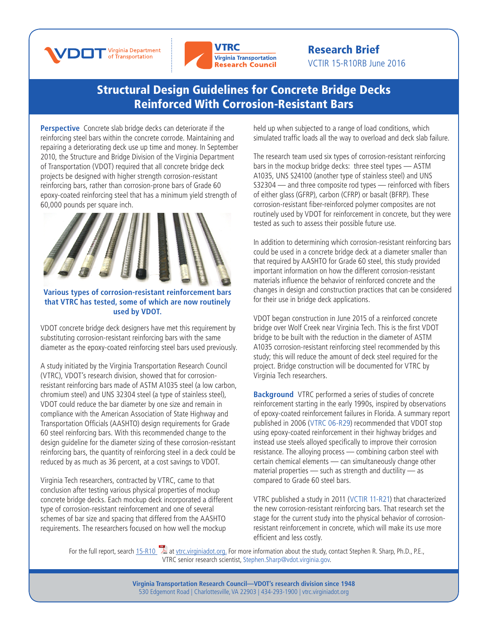



## Research Brief VCTIR 15-R10RB June 2016

## [Structural Design Guidelines for Concrete Bridge Decks](http://www.virginiadot.org/vtrc/main/online_reports/pdf/14-r15.pdf)  Reinforced With Corrosion-Resistant Bars

**Perspective** Concrete slab bridge decks can deteriorate if the reinforcing steel bars within the concrete corrode. Maintaining and repairing a deteriorating deck use up time and money. In September 2010, the Structure and Bridge Division of the Virginia Department of Transportation (VDOT) required that all concrete bridge deck projects be designed with higher strength corrosion-resistant reinforcing bars, rather than corrosion-prone bars of Grade 60 epoxy-coated reinforcing steel that has a minimum yield strength of 60,000 pounds per square inch.



**Various types of corrosion-resistant reinforcement bars that VTRC has tested, some of which are now routinely used by VDOT.** 

VDOT concrete bridge deck designers have met this requirement by substituting corrosion-resistant reinforcing bars with the same diameter as the epoxy-coated reinforcing steel bars used previously.

A study initiated by the Virginia Transportation Research Council (VTRC), VDOT's research division, showed that for corrosionresistant reinforcing bars made of ASTM A1035 steel (a low carbon, chromium steel) and UNS 32304 steel (a type of stainless steel), VDOT could reduce the bar diameter by one size and remain in compliance with the American Association of State Highway and Transportation Officials (AASHTO) design requirements for Grade 60 steel reinforcing bars. With this recommended change to the design guideline for the diameter sizing of these corrosion-resistant reinforcing bars, the quantity of reinforcing steel in a deck could be reduced by as much as 36 percent, at a cost savings to VDOT.

Virginia Tech researchers, contracted by VTRC, came to that conclusion after testing various physical properties of mockup concrete bridge decks. Each mockup deck incorporated a different type of corrosion-resistant reinforcement and one of several schemes of bar size and spacing that differed from the AASHTO requirements. The researchers focused on how well the mockup

held up when subjected to a range of load conditions, which simulated traffic loads all the way to overload and deck slab failure.

The research team used six types of corrosion-resistant reinforcing bars in the mockup bridge decks: three steel types — ASTM A1035, UNS S24100 (another type of stainless steel) and UNS S32304 — and three composite rod types — reinforced with fibers of either glass (GFRP), carbon (CFRP) or basalt (BFRP). These corrosion-resistant fiber-reinforced polymer composites are not routinely used by VDOT for reinforcement in concrete, but they were tested as such to assess their possible future use.

In addition to determining which corrosion-resistant reinforcing bars could be used in a concrete bridge deck at a diameter smaller than that required by AASHTO for Grade 60 steel, this study provided important information on how the different corrosion-resistant materials influence the behavior of reinforced concrete and the changes in design and construction practices that can be considered for their use in bridge deck applications.

VDOT began construction in June 2015 of a reinforced concrete bridge over Wolf Creek near Virginia Tech. This is the first VDOT bridge to be built with the reduction in the diameter of ASTM A1035 corrosion-resistant reinforcing steel recommended by this study; this will reduce the amount of deck steel required for the project. Bridge construction will be documented for VTRC by Virginia Tech researchers.

**Background** VTRC performed a series of studies of concrete reinforcement starting in the early 1990s, inspired by observations of epoxy-coated reinforcement failures in Florida. A summary report published in 200[6 \(VTRC 06-R29\)](http://www.virginiadot.org/vtrc/main/online_reports/pdf/06-r29.pdf) recommended that VDOT stop using epoxy-coated reinforcement in their highway bridges and instead use steels alloyed specifically to improve their corrosion resistance. The alloying process — combining carbon steel with certain chemical elements — can simultaneously change other material properties — such as strength and ductility — as compared to Grade 60 steel bars.

VTRC published a study in 201[1 \(VCTIR 11-R21\) t](http://www.virginiadot.org/vtrc/main/online_reports/pdf/11-r21.pdf)hat characterized the new corrosion-resistant reinforcing bars. That research set the stage for the current study into the physical behavior of corrosionresistant reinforcement in concrete, which will make its use more efficient and less costly.

For the full report, searc[h 15-R10](http://www.virginiadot.org/vtrc/main/online_reports/pdf/15-r10.pdf) [a](www.virginiadot.org/vtrc/main/online_reports/pdf/15-r10.pdf)t [vtrc.virginiadot.org.](http://vtrc.virginiadot.org/) For more information about the study, contact Stephen R. Sharp, Ph.D., P.E., VTRC senior research scien[tist, Stephen.Sharp@](mailto:Stephen.Sharp%40VDOT.Virginia.gov?subject=)[vdot.virginia.gov.](mailto:celik%40vdot.virginia.gov?subject=)

> **Virginia Transportation Research Council—VDOT's research division since 1948** 530 Edgemont Road | Charlottesville, VA 22903 | 434-293-1900 | [vtrc.virginiadot.org](http://vtrc.virginiadot.org)